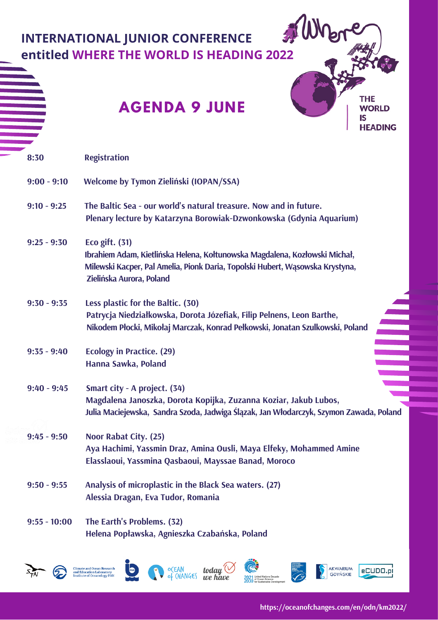|                | <b>THE</b><br><b>AGENDA 9 JUNE</b><br><b>WORLD</b><br>IS<br><b>HEADING</b>                                                                                                                                  |
|----------------|-------------------------------------------------------------------------------------------------------------------------------------------------------------------------------------------------------------|
| 8:30           | <b>Registration</b>                                                                                                                                                                                         |
| $9:00 - 9:10$  | Welcome by Tymon Zieliński (IOPAN/SSA)                                                                                                                                                                      |
| $9:10 - 9:25$  | The Baltic Sea - our world's natural treasure. Now and in future.<br>Plenary lecture by Katarzyna Borowiak-Dzwonkowska (Gdynia Aquarium)                                                                    |
| $9:25 - 9:30$  | Eco gift. $(31)$<br>Ibrahiem Adam, Kietlińska Helena, Kołtunowska Magdalena, Kozłowski Michał,<br>Milewski Kacper, Pal Amelia, Pionk Daria, Topolski Hubert, Wąsowska Krystyna,<br>Zielińska Aurora, Poland |
| $9:30 - 9:35$  | Less plastic for the Baltic. (30)<br>Patrycja Niedziałkowska, Dorota Józefiak, Filip Pelnens, Leon Barthe,<br>Nikodem Płocki, Mikołaj Marczak, Konrad Pełkowski, Jonatan Szulkowski, Poland                 |
| $9:35 - 9:40$  | <b>Ecology in Practice. (29)</b><br>Hanna Sawka, Poland                                                                                                                                                     |
| $9:40 - 9:45$  | Smart city - A project. (34)<br>Magdalena Janoszka, Dorota Kopijka, Zuzanna Koziar, Jakub Lubos,<br>Julia Maciejewska, Sandra Szoda, Jadwiga Ślązak, Jan Włodarczyk, Szymon Zawada, Poland                  |
| $9:45 - 9:50$  | Noor Rabat City. (25)<br>Aya Hachimi, Yassmin Draz, Amina Ousli, Maya Elfeky, Mohammed Amine<br>Elasslaoui, Yassmina Qasbaoui, Mayssae Banad, Moroco                                                        |
| $9:50 - 9:55$  | Analysis of microplastic in the Black Sea waters. (27)<br>Alessia Dragan, Eva Tudor, Romania                                                                                                                |
| $9:55 - 10:00$ | The Earth's Problems. (32)                                                                                                                                                                                  |







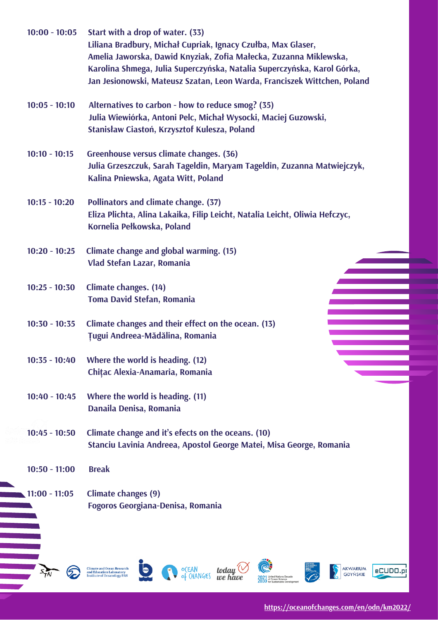| $10:00 - 10:05$ | Start with a drop of water. (33)<br>Liliana Bradbury, Michał Cupriak, Ignacy Czułba, Max Glaser,<br>Amelia Jaworska, Dawid Knyziak, Zofia Małecka, Zuzanna Miklewska,<br>Karolina Shmega, Julia Superczyńska, Natalia Superczyńska, Karol Górka,<br>Jan Jesionowski, Mateusz Szatan, Leon Warda, Franciszek Wittchen, Poland |
|-----------------|------------------------------------------------------------------------------------------------------------------------------------------------------------------------------------------------------------------------------------------------------------------------------------------------------------------------------|
| $10:05 - 10:10$ | Alternatives to carbon - how to reduce smog? (35)<br>Julia Wiewiórka, Antoni Pelc, Michał Wysocki, Maciej Guzowski,<br>Stanisław Ciastoń, Krzysztof Kulesza, Poland                                                                                                                                                          |
| $10:10 - 10:15$ | Greenhouse versus climate changes. (36)<br>Julia Grzeszczuk, Sarah Tageldin, Maryam Tageldin, Zuzanna Matwiejczyk,<br>Kalina Pniewska, Agata Witt, Poland                                                                                                                                                                    |
| $10:15 - 10:20$ | Pollinators and climate change. (37)<br>Eliza Plichta, Alina Lakaika, Filip Leicht, Natalia Leicht, Oliwia Hefczyc,<br>Kornelia Pełkowska, Poland                                                                                                                                                                            |
| $10:20 - 10:25$ | Climate change and global warming. (15)<br>Vlad Stefan Lazar, Romania                                                                                                                                                                                                                                                        |
| $10:25 - 10:30$ | Climate changes. (14)<br><b>Toma David Stefan, Romania</b>                                                                                                                                                                                                                                                                   |
| $10:30 - 10:35$ | Climate changes and their effect on the ocean. (13)<br><b>Ţugui Andreea-Mădălina, Romania</b>                                                                                                                                                                                                                                |
| $10:35 - 10:40$ | Where the world is heading. (12)<br>Chițac Alexia-Anamaria, Romania                                                                                                                                                                                                                                                          |
| $10:40 - 10:45$ | Where the world is heading. (11)<br>Danaila Denisa, Romania                                                                                                                                                                                                                                                                  |
| $10:45 - 10:50$ | Climate change and it's efects on the oceans. (10)<br>Stanciu Lavinia Andreea, Apostol George Matei, Misa George, Romania                                                                                                                                                                                                    |
| $10:50 - 11:00$ | <b>Break</b>                                                                                                                                                                                                                                                                                                                 |
| $11:00 - 11:05$ | <b>Climate changes (9)</b><br><b>Fogoros Georgiana-Denisa, Romania</b>                                                                                                                                                                                                                                                       |
|                 | <b>AKWARIUM</b><br><b>Climate and Ocean Research</b><br>o(EAN<br>of (HANGE)<br>$\frac{1}{2}$ today<br>eCUDO.nl<br>nd Education Laboratory                                                                                                                                                                                    |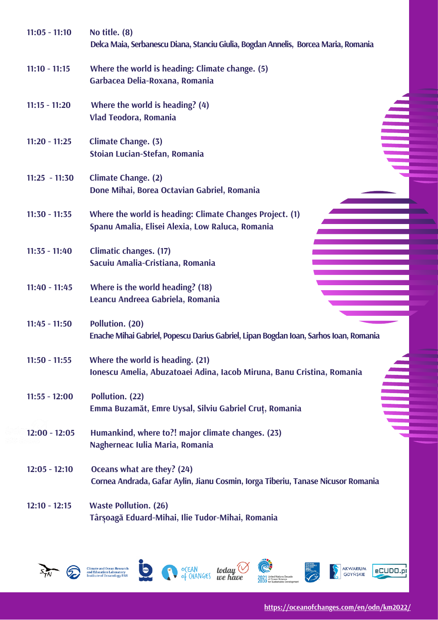| $11:05 - 11:10$ | No title. (8)<br>Delca Maia, Serbanescu Diana, Stanciu Giulia, Bogdan Annelis, Borcea Maria, Romania                |
|-----------------|---------------------------------------------------------------------------------------------------------------------|
| $11:10 - 11:15$ | Where the world is heading: Climate change. (5)<br>Garbacea Delia-Roxana, Romania                                   |
| $11:15 - 11:20$ | Where the world is heading? $(4)$<br>Vlad Teodora, Romania                                                          |
| $11:20 - 11:25$ | $\equiv$<br>Climate Change. (3)<br>Stoian Lucian-Stefan, Romania                                                    |
| $11:25 - 11:30$ | <b>Climate Change. (2)</b><br>Done Mihai, Borea Octavian Gabriel, Romania                                           |
| $11:30 - 11:35$ | Where the world is heading: Climate Changes Project. (1)<br>Spanu Amalia, Elisei Alexia, Low Raluca, Romania        |
| $11:35 - 11:40$ | Climatic changes. (17)<br>Sacuiu Amalia-Cristiana, Romania                                                          |
| $11:40 - 11:45$ | Where is the world heading? (18)<br>Leancu Andreea Gabriela, Romania                                                |
| $11:45 - 11:50$ | Pollution. (20)<br>Enache Mihai Gabriel, Popescu Darius Gabriel, Lipan Bogdan Ioan, Sarhos Ioan, Romania            |
| $11:50 - 11:55$ | Where the world is heading. (21)<br>Ionescu Amelia, Abuzatoaei Adina, Iacob Miruna, Banu Cristina, Romania          |
| $11:55 - 12:00$ | ▋<br>Pollution. (22)<br>Emma Buzamăt, Emre Uysal, Silviu Gabriel Cruț, Romania                                      |
| $12:00 - 12:05$ | Humankind, where to?! major climate changes. (23)<br>Nagherneac Iulia Maria, Romania                                |
| $12:05 - 12:10$ | Oceans what are they? (24)<br>Cornea Andrada, Gafar Aylin, Jianu Cosmin, Iorga Tiberiu, Tanase Nicusor Romania      |
| $12:10 - 12:15$ | <b>Waste Pollution. (26)</b><br>Târșoagă Eduard-Mihai, Ilie Tudor-Mihai, Romania                                    |
|                 | <b>AKWARIUM</b><br>OCEAN today<br>of CHANGES we ha<br><b>Climate and Ocean Research</b><br>and Education Laboratory |